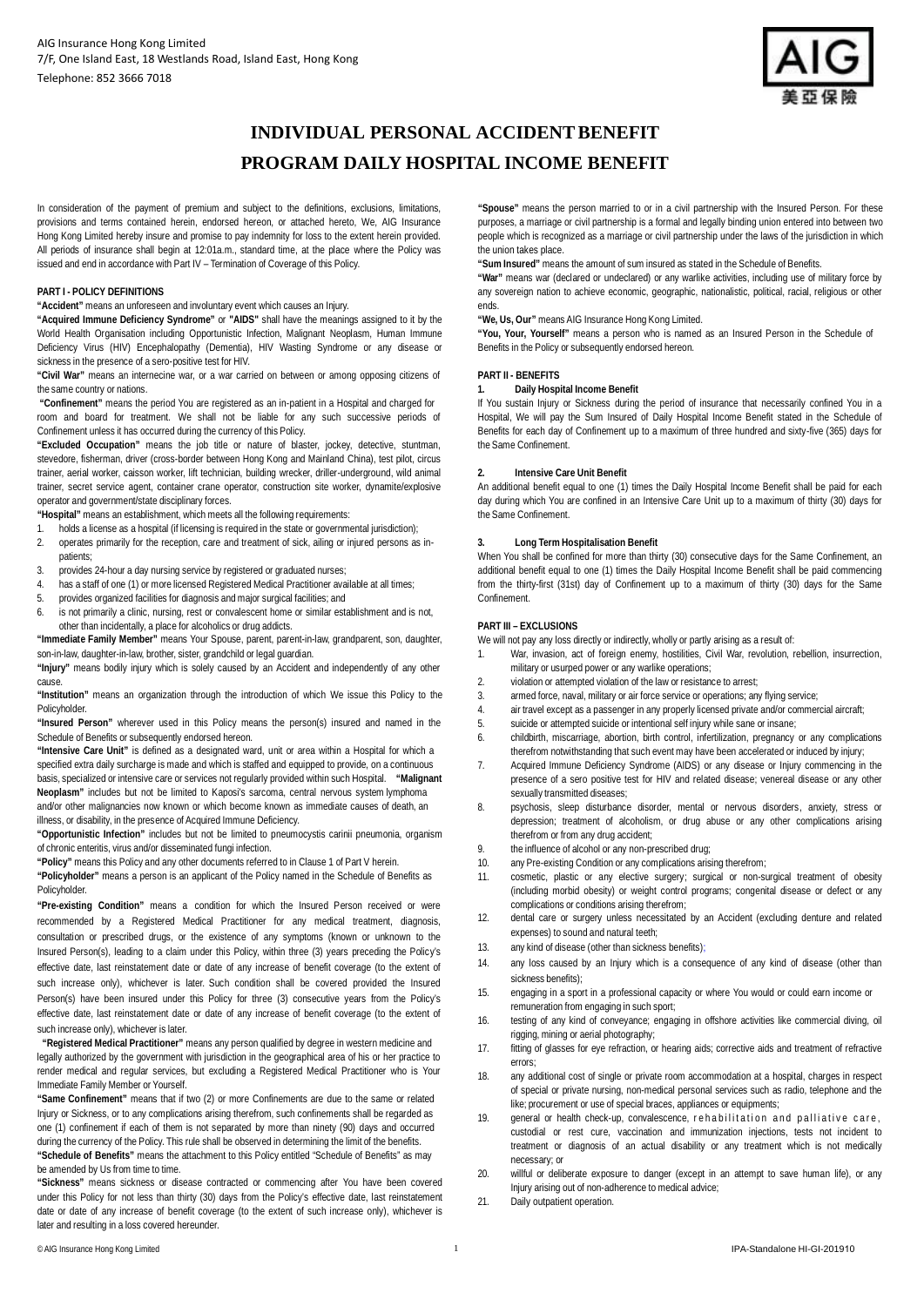

# **INDIVIDUAL PERSONAL ACCIDENT BENEFIT PROGRAM DAILY HOSPITAL INCOME BENEFIT**

In consideration of the payment of premium and subject to the definitions, exclusions, limitations, provisions and terms contained herein, endorsed hereon, or attached hereto, We, AIG Insurance Hong Kong Limited hereby insure and promise to pay indemnity for loss to the extent herein provided. All periods of insurance shall begin at 12:01a.m., standard time, at the place where the Policy was issued and end in accordance with Part IV – Termination of Coverage of this Policy.

### **PART I - POLICY DEFINITIONS**

**"Accident"** means an unforeseen and involuntary event which causes an Injury.

**"Acquired Immune Deficiency Syndrome"** or **"AIDS"** shall have the meanings assigned to it by the World Health Organisation including Opportunistic Infection, Malignant Neoplasm, Human Immune Deficiency Virus (HIV) Encephalopathy (Dementia), HIV Wasting Syndrome or any disease or sickness in the presence of a sero-positive test for HIV.

**"Civil War"** means an internecine war, or a war carried on between or among opposing citizens of the same country or nations.

 **"Confinement"** means the period You are registered as an in-patient in a Hospital and charged for room and board for treatment. We shall not be liable for any such successive periods of Confinement unless it has occurred during the currency of this Policy.

**"Excluded Occupation"** means the job title or nature of blaster, jockey, detective, stuntman, stevedore, fisherman, driver (cross-border between Hong Kong and Mainland China), test pilot, circus trainer, aerial worker, caisson worker, lift technician, building wrecker, driller-underground, wild animal trainer, secret service agent, container crane operator, construction site worker, dynamite/explosive operator and government/state disciplinary forces.

**"Hospital"** means an establishment, which meets all the following requirements:

- 1. holds a license as a hospital (if licensing is required in the state or governmental jurisdiction);
- 2. operates primarily for the reception, care and treatment of sick, ailing or injured persons as inpatients;
- 3. provides 24-hour a day nursing service by registered or graduated nurses;
- 4. has a staff of one (1) or more licensed Registered Medical Practitioner available at all times;<br>5. provides propagized facilities for diagnosis and maior surgical facilities; and
- 5. provides organized facilities for diagnosis and major surgical facilities; and
- is not primarily a clinic, nursing, rest or convalescent home or similar establishment and is not. other than incidentally, a place for alcoholics or drug addicts.

**"Immediate Family Member"** means Your Spouse, parent, parent-in-law, grandparent, son, daughter, son-in-law, daughter-in-law, brother, sister, grandchild or legal guardian.

**"Injury"** means bodily injury which is solely caused by an Accident and independently of any other cause.

**"Institution"** means an organization through the introduction of which We issue this Policy to the Policyholder.

**"Insured Person"** wherever used in this Policy means the person(s) insured and named in the Schedule of Benefits or subsequently endorsed hereon.

**"Intensive Care Unit"** is defined as a designated ward, unit or area within a Hospital for which a specified extra daily surcharge is made and which is staffed and equipped to provide, on a continuous basis, specialized or intensive care or services not regularly provided within such Hospital. **"Malignant Neoplasm"** includes but not be limited to Kaposi's sarcoma, central nervous system lymphoma and/or other malignancies now known or which become known as immediate causes of death, an illness, or disability, in the presence of Acquired Immune Deficiency.

**"Opportunistic Infection"** includes but not be limited to pneumocystis carinii pneumonia, organism of chronic enteritis, virus and/or disseminated fungi infection.

**"Policy"** means this Policy and any other documents referred to in Clause 1 of Part V herein.

**"Policyholder"** means a person is an applicant of the Policy named in the Schedule of Benefits as Policyholder.

**"Pre-existing Condition"** means a condition for which the Insured Person received or were recommended by a Registered Medical Practitioner for any medical treatment, diagnosis, consultation or prescribed drugs, or the existence of any symptoms (known or unknown to the Insured Person(s), leading to a claim under this Policy, within three (3) years preceding the Policy's effective date, last reinstatement date or date of any increase of benefit coverage (to the extent of such increase only), whichever is later. Such condition shall be covered provided the Insured Person(s) have been insured under this Policy for three (3) consecutive years from the Policy's effective date, last reinstatement date or date of any increase of benefit coverage (to the extent of such increase only), whichever is later.

**"Registered Medical Practitioner"** means any person qualified by degree in western medicine and legally authorized by the government with jurisdiction in the geographical area of his or her practice to render medical and regular services, but excluding a Registered Medical Practitioner who is Your Immediate Family Member or Yourself.

**"Same Confinement"** means that if two (2) or more Confinements are due to the same or related Injury or Sickness, or to any complications arising therefrom, such confinements shall be regarded as one (1) confinement if each of them is not separated by more than ninety (90) days and occurred during the currency of the Policy. This rule shall be observed in determining the limit of the benefits. **"Schedule of Benefits"** means the attachment to this Policy entitled "Schedule of Benefits" as may be amended by Us from time to time.

**"Sickness"** means sickness or disease contracted or commencing after You have been covered under this Policy for not less than thirty (30) days from the Policy's effective date, last reinstatement date or date of any increase of benefit coverage (to the extent of such increase only), whichever is later and resulting in a loss covered hereunder.

**"Spouse"** means the person married to or in a civil partnership with the Insured Person. For these purposes, a marriage or civil partnership is a formal and legally binding union entered into between two people which is recognized as a marriage or civil partnership under the laws of the jurisdiction in which the union takes place.

**"Sum Insured"** means the amount of sum insured as stated in the Schedule of Benefits.

**"War"** means war (declared or undeclared) or any warlike activities, including use of military force by any sovereign nation to achieve economic, geographic, nationalistic, political, racial, religious or other ends.

**"We, Us, Our"** means AIG Insurance Hong Kong Limited.

**"You, Your, Yourself"** means a person who is named as an Insured Person in the Schedule of Benefits in the Policy or subsequently endorsed hereon.

### **PART II - BENEFITS**

## **1. Daily Hospital Income Benefit**

If You sustain Injury or Sickness during the period of insurance that necessarily confined You in a Hospital, We will pay the Sum Insured of Daily Hospital Income Benefit stated in the Schedule of Benefits for each day of Confinement up to a maximum of three hundred and sixty-five (365) days for the Same Confinement.

#### **2. Intensive Care Unit Benefit**

An additional benefit equal to one (1) times the Daily Hospital Income Benefit shall be paid for each day during which You are confined in an Intensive Care Unit up to a maximum of thirty (30) days for the Same Confinement.

#### **3. Long Term Hospitalisation Benefit**

When You shall be confined for more than thirty (30) consecutive days for the Same Confinement, an additional benefit equal to one (1) times the Daily Hospital Income Benefit shall be paid commencing from the thirty-first (31st) day of Confinement up to a maximum of thirty (30) days for the Same Confinement.

#### **PART III – EXCLUSIONS**

We will not pay any loss directly or indirectly, wholly or partly arising as a result of:

- 1. War, invasion, act of foreign enemy, hostilities, Civil War, revolution, rebellion, insurrection, military or usurped power or any warlike operations;
- 2. violation or attempted violation of the law or resistance to arrest;<br>3. armed force, naval, military or air force service or operations: an
- 3. armed force, naval, military or air force service or operations; any flying service;<br>4 air travel except as a passenger in any properly licensed private and/or commer-
- 4. air travel except as a passenger in any properly licensed private and/or commercial aircraft;<br>5. suicide or attempted suicide or intentional self iniury while sane or insane:
- 5. suicide or attempted suicide or intentional self injury while sane or insane;<br>6. childbirth. miscarriage. abortion. birth control. infertilization. pregnancy
- 6. childbirth, miscarriage, abortion, birth control, infertilization, pregnancy or any complications therefrom notwithstanding that such event may have been accelerated or induced by injury;
- 7. Acquired Immune Deficiency Syndrome (AIDS) or any disease or Injury commencing in the presence of a sero positive test for HIV and related disease; venereal disease or any other sexually transmitted diseases;
- 8. psychosis, sleep disturbance disorder, mental or nervous disorders, anxiety, stress or depression; treatment of alcoholism, or drug abuse or any other complications arising therefrom or from any drug accident;
- 9. the influence of alcohol or any non-prescribed drug;<br>10 any Pre-existing Condition or any complications aris
- any Pre-existing Condition or any complications arising therefrom;
- 11. cosmetic, plastic or any elective surgery; surgical or non-surgical treatment of obesity (including morbid obesity) or weight control programs; congenital disease or defect or any complications or conditions arising therefrom;
- 12. dental care or surgery unless necessitated by an Accident (excluding denture and related expenses) to sound and natural teeth;
- 13. any kind of disease (other than sickness benefits);
- 14. any loss caused by an Injury which is a consequence of any kind of disease (other than sickness benefits);
- 15. engaging in a sport in a professional capacity or where You would or could earn income or remuneration from engaging in such sport;
- 16. testing of any kind of conveyance; engaging in offshore activities like commercial diving, oil rigging, mining or aerial photography;
- 17. fitting of glasses for eye refraction, or hearing aids; corrective aids and treatment of refractive errors;
- 18. any additional cost of single or private room accommodation at a hospital, charges in respect of special or private nursing, non-medical personal services such as radio, telephone and the like; procurement or use of special braces, appliances or equipments;
- 19. general or health check-up, convalescence, rehabilitation and palliative care, custodial or rest cure, vaccination and immunization injections, tests not incident to treatment or diagnosis of an actual disability or any treatment which is not medically necessary; or
- 20. willful or deliberate exposure to danger (except in an attempt to save human life), or any Injury arising out of non-adherence to medical advice;
- 21. Daily outpatient operation.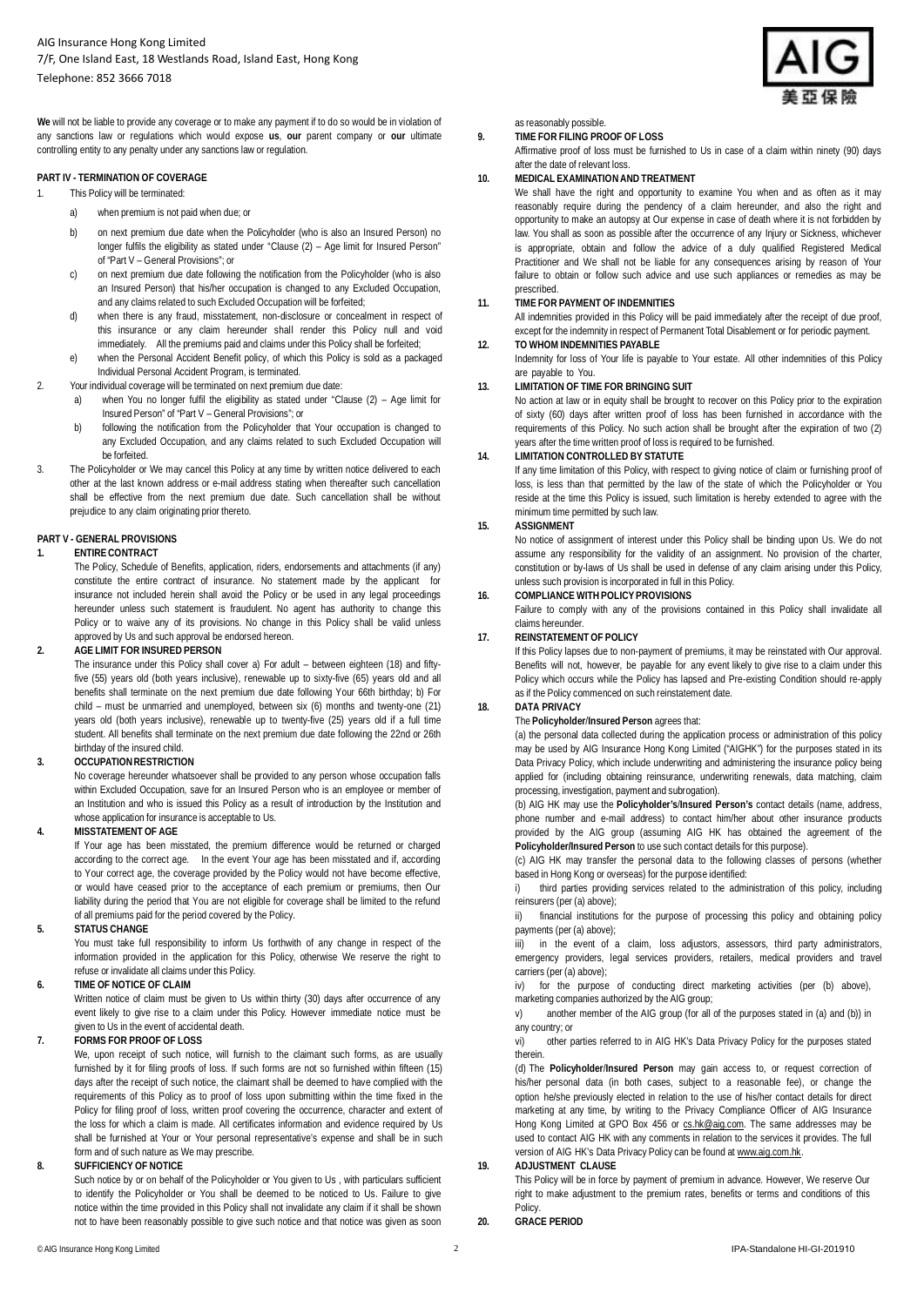**We** will not be liable to provide any coverage or to make any payment if to do so would be in violation of any sanctions law or regulations which would expose **us**, **our** parent company or **our** ultimate controlling entity to any penalty under any sanctions law or regulation.

## **PART IV - TERMINATION OF COVERAGE**

- 1. This Policy will be terminated:
	- a) when premium is not paid when due; or
	- b) on next premium due date when the Policyholder (who is also an Insured Person) no longer fulfils the eligibility as stated under "Clause (2) – Age limit for Insured Person" of "Part V – General Provisions"; or
	- c) on next premium due date following the notification from the Policyholder (who is also an Insured Person) that his/her occupation is changed to any Excluded Occupation, and any claims related to such Excluded Occupation will be forfeited;
	- d) when there is any fraud, misstatement, non-disclosure or concealment in respect of this insurance or any claim hereunder shall render this Policy null and void immediately. All the premiums paid and claims under this Policy shall be forfeited;
	- e) when the Personal Accident Benefit policy, of which this Policy is sold as a packaged Individual Personal Accident Program, is terminated.
- 2. Your individual coverage will be terminated on next premium due date:
	- a) when You no longer fulfil the eligibility as stated under "Clause (2) Age limit for Insured Person" of "Part V – General Provisions"; or
	- b) following the notification from the Policyholder that Your occupation is changed to any Excluded Occupation, and any claims related to such Excluded Occupation will be forfeited.
- 3. The Policyholder or We may cancel this Policy at any time by written notice delivered to each other at the last known address or e-mail address stating when thereafter such cancellation shall be effective from the next premium due date. Such cancellation shall be without prejudice to any claim originating prior thereto.

## **PART V - GENERAL PROVISIONS**

# **1. ENTIRE CONTRACT**

The Policy, Schedule of Benefits, application, riders, endorsements and attachments (if any) constitute the entire contract of insurance. No statement made by the applicant for insurance not included herein shall avoid the Policy or be used in any legal proceedings hereunder unless such statement is fraudulent. No agent has authority to change this Policy or to waive any of its provisions. No change in this Policy shall be valid unless approved by Us and such approval be endorsed hereon.

#### **2. AGE LIMIT FOR INSURED PERSON**

The insurance under this Policy shall cover a) For adult – between eighteen (18) and fiftyfive (55) years old (both years inclusive), renewable up to sixty-five (65) years old and all benefits shall terminate on the next premium due date following Your 66th birthday; b) For child – must be unmarried and unemployed, between six (6) months and twenty-one (21) years old (both years inclusive), renewable up to twenty-five (25) years old if a full time student. All benefits shall terminate on the next premium due date following the 22nd or 26th birthday of the insured child.

#### **3. OCCUPATION RESTRICTION**

No coverage hereunder whatsoever shall be provided to any person whose occupation falls within Excluded Occupation, save for an Insured Person who is an employee or member of an Institution and who is issued this Policy as a result of introduction by the Institution and whose application for insurance is acceptable to Us.

#### **4. MISSTATEMENT OF AGE**

If Your age has been misstated, the premium difference would be returned or charged according to the correct age. In the event Your age has been misstated and if, according to Your correct age, the coverage provided by the Policy would not have become effective, or would have ceased prior to the acceptance of each premium or premiums, then Our liability during the period that You are not eligible for coverage shall be limited to the refund of all premiums paid for the period covered by the Policy.

#### **5. STATUS CHANGE**

You must take full responsibility to inform Us forthwith of any change in respect of the information provided in the application for this Policy, otherwise We reserve the right to refuse or invalidate all claims under this Policy.

#### **6. TIME OF NOTICE OF CLAIM**

Written notice of claim must be given to Us within thirty (30) days after occurrence of any event likely to give rise to a claim under this Policy. However immediate notice must be given to Us in the event of accidental death.

#### **7. FORMS FOR PROOF OF LOSS**

We, upon receipt of such notice, will furnish to the claimant such forms, as are usually furnished by it for filing proofs of loss. If such forms are not so furnished within fifteen (15) days after the receipt of such notice, the claimant shall be deemed to have complied with the requirements of this Policy as to proof of loss upon submitting within the time fixed in the Policy for filing proof of loss, written proof covering the occurrence, character and extent of the loss for which a claim is made. All certificates information and evidence required by Us shall be furnished at Your or Your personal representative's expense and shall be in such form and of such nature as We may prescribe.

#### **8. SUFFICIENCY OF NOTICE**

Such notice by or on behalf of the Policyholder or You given to Us , with particulars sufficient to identify the Policyholder or You shall be deemed to be noticed to Us. Failure to give notice within the time provided in this Policy shall not invalidate any claim if it shall be shown not to have been reasonably possible to give such notice and that notice was given as soon as reasonably possible.

**9. TIME FOR FILING PROOF OF LOSS** Affirmative proof of loss must be furnished to Us in case of a claim within ninety (90) days after the date of relevant loss.

## **10. MEDICAL EXAMINATION AND TREATMENT**

We shall have the right and opportunity to examine You when and as often as it may reasonably require during the pendency of a claim hereunder, and also the right and opportunity to make an autopsy at Our expense in case of death where it is not forbidden by law. You shall as soon as possible after the occurrence of any Injury or Sickness, whichever is appropriate, obtain and follow the advice of a duly qualified Registered Medical Practitioner and We shall not be liable for any consequences arising by reason of Your failure to obtain or follow such advice and use such appliances or remedies as may be prescribed.

## **11. TIME FOR PAYMENT OF INDEMNITIES**

All indemnities provided in this Policy will be paid immediately after the receipt of due proof, except for the indemnity in respect of Permanent Total Disablement or for periodic payment.

## **12. TO WHOM INDEMNITIES PAYABLE**

Indemnity for loss of Your life is payable to Your estate. All other indemnities of this Policy are payable to You.

## **13. LIMITATION OF TIME FOR BRINGING SUIT**

No action at law or in equity shall be brought to recover on this Policy prior to the expiration of sixty (60) days after written proof of loss has been furnished in accordance with the requirements of this Policy. No such action shall be brought after the expiration of two (2) years after the time written proof of loss is required to be furnished.

#### **14. LIMITATION CONTROLLED BY STATUTE**

If any time limitation of this Policy, with respect to giving notice of claim or furnishing proof of loss, is less than that permitted by the law of the state of which the Policyholder or You reside at the time this Policy is issued, such limitation is hereby extended to agree with the minimum time permitted by such law.

## **15. ASSIGNMENT**

No notice of assignment of interest under this Policy shall be binding upon Us. We do not assume any responsibility for the validity of an assignment. No provision of the charter, constitution or by-laws of Us shall be used in defense of any claim arising under this Policy, unless such provision is incorporated in full in this Policy.

#### **16. COMPLIANCE WITH POLICY PROVISIONS**

Failure to comply with any of the provisions contained in this Policy shall invalidate all claims hereunder.

## **17. REINSTATEMENT OF POLICY**

If this Policy lapses due to non-payment of premiums, it may be reinstated with Our approval. Benefits will not, however, be payable for any event likely to give rise to a claim under this Policy which occurs while the Policy has lapsed and Pre-existing Condition should re-apply as if the Policy commenced on such reinstatement date.

# **18. DATA PRIVACY**

The **Policyholder**/**Insured Person** agrees that:

(a) the personal data collected during the application process or administration of this policy may be used by AIG Insurance Hong Kong Limited ("AIGHK") for the purposes stated in its Data Privacy Policy, which include underwriting and administering the insurance policy being applied for (including obtaining reinsurance, underwriting renewals, data matching, claim processing, investigation, payment and subrogation).

(b) AIG HK may use the **Policyholder's**/**Insured Person's** contact details (name, address, phone number and e-mail address) to contact him/her about other insurance products provided by the AIG group (assuming AIG HK has obtained the agreement of the **Policyholder/Insured Person** to use such contact details for this purpose).

(c) AIG HK may transfer the personal data to the following classes of persons (whether based in Hong Kong or overseas) for the purpose identified:

i) third parties providing services related to the administration of this policy, including reinsurers (per (a) above);

ii) financial institutions for the purpose of processing this policy and obtaining policy payments (per (a) above);

in the event of a claim, loss adjustors, assessors, third party administrators, emergency providers, legal services providers, retailers, medical providers and travel carriers (per (a) above);

iv) for the purpose of conducting direct marketing activities (per (b) above), marketing companies authorized by the AIG group;

v) another member of the AIG group (for all of the purposes stated in (a) and (b)) in any country; or<br>vi) other

other parties referred to in AIG HK's Data Privacy Policy for the purposes stated therein.

(d) The **Policyholder**/**Insured Person** may gain access to, or request correction of his/her personal data (in both cases, subject to a reasonable fee), or change the option he/she previously elected in relation to the use of his/her contact details for direct marketing at any time, by writing to the Privacy Compliance Officer of AIG Insurance Hong Kong Limited at GPO Box 456 or [cs.hk@aig.com. T](mailto:cs.hk@aig.com)he same addresses may be used to contact AIG HK with any comments in relation to the services it provides. The full version of AIG HK's Data Privacy Policy can be found a[t www.aig.com.hk.](http://www.aig.com.hk/)

#### **19. ADJUSTMENT CLAUSE**

This Policy will be in force by payment of premium in advance. However, We reserve Our right to make adjustment to the premium rates, benefits or terms and conditions of this Policy.

## **20. GRACE PERIOD**

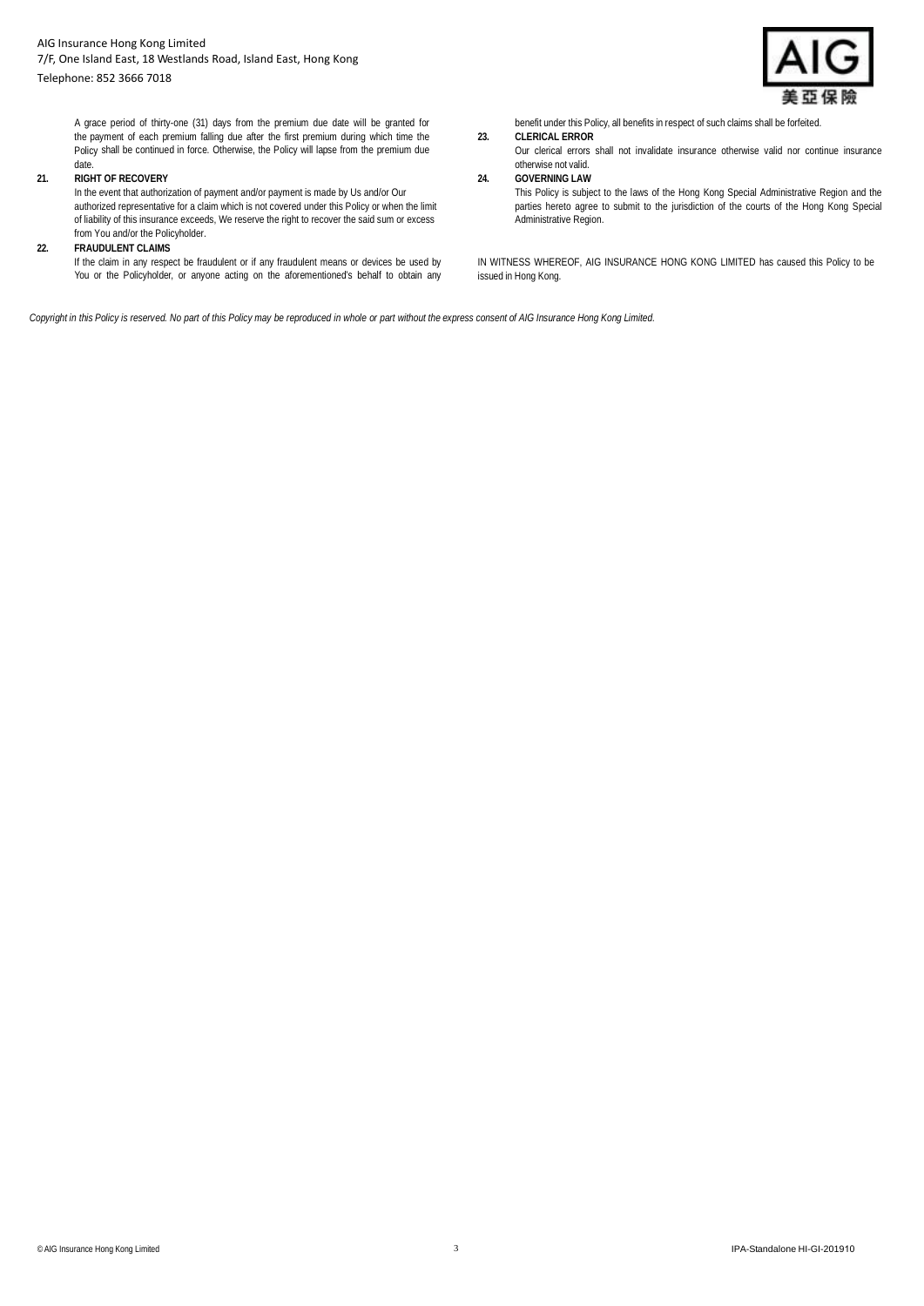## Telephone: 852 3666 7018



A grace period of thirty-one (31) days from the premium due date will be granted for the payment of each premium falling due after the first premium during which time the Policy shall be continued in force. Otherwise, the Policy will lapse from the premium due date.

# **21. RIGHT OF RECOVERY**

In the event that authorization of payment and/or payment is made by Us and/or Our authorized representative for a claim which is not covered under this Policy or when the limit of liability of this insurance exceeds, We reserve the right to recover the said sum or excess from You and/or the Policyholder.

## **22. FRAUDULENT CLAIMS**

If the claim in any respect be fraudulent or if any fraudulent means or devices be used by You or the Policyholder, or anyone acting on the aforementioned's behalf to obtain any benefit under this Policy, all benefits in respect of such claims shall be forfeited.

**23. CLERICAL ERROR** 

Our clerical errors shall not invalidate insurance otherwise valid nor continue insurance otherwise not valid.

## **24. GOVERNING LAW**

This Policy is subject to the laws of the Hong Kong Special Administrative Region and the parties hereto agree to submit to the jurisdiction of the courts of the Hong Kong Special Administrative Region.

IN WITNESS WHEREOF, AIG INSURANCE HONG KONG LIMITED has caused this Policy to be issued in Hong Kong.

*Copyright in this Policy is reserved. No part of this Policy may be reproduced in whole or part without the express consent of AIG Insurance Hong Kong Limited.*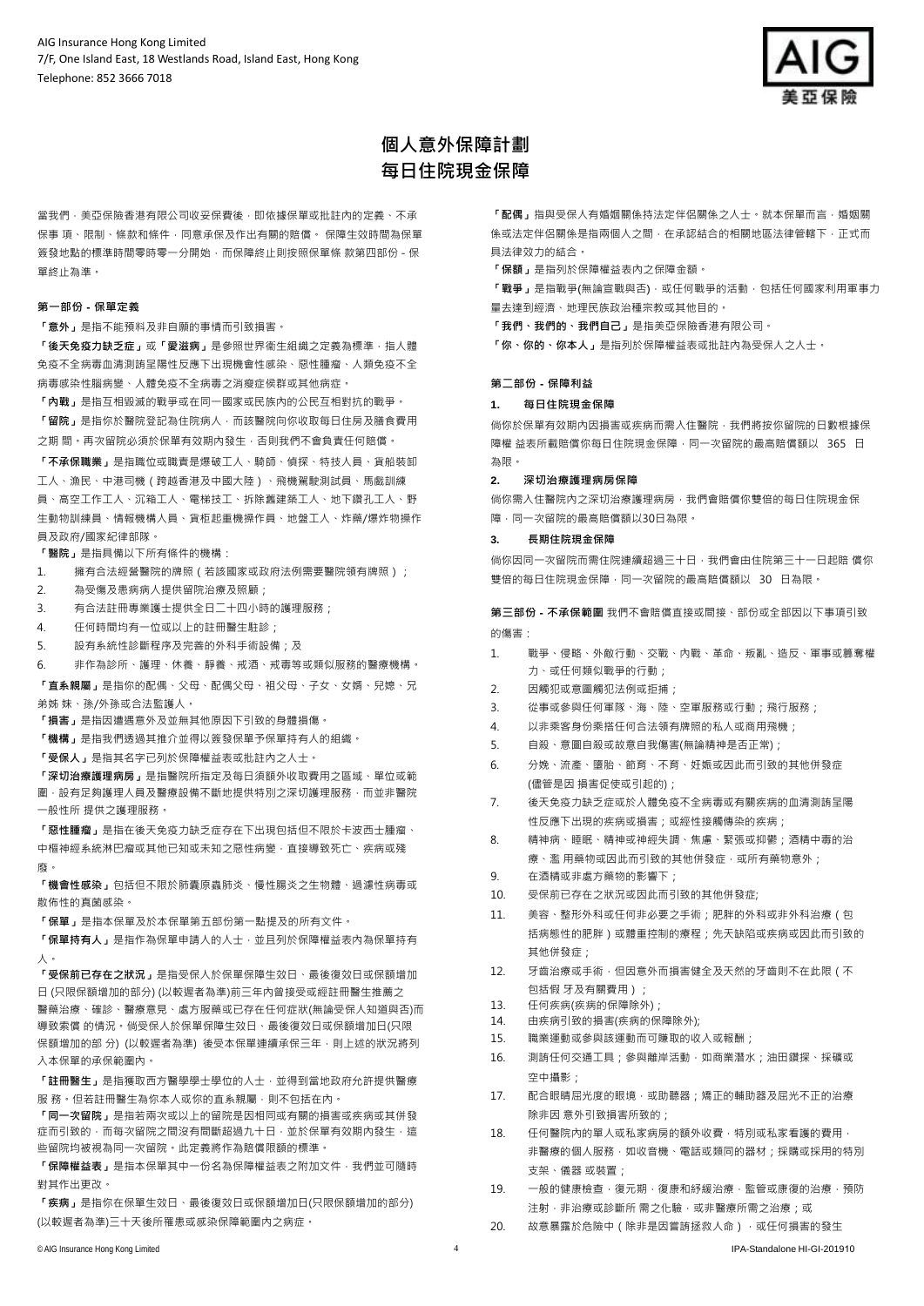

# **個人意外保障計劃 每日住院現金保障**

當我們,美亞保險香港有限公司收妥保費後,即依據保單或批註內的定義、不承 保事 項、限制、條款和條件,同意承保及作出有關的賠償。 保障生效時間為保單 簽發地點的標準時間零時零一分開始,而保障終止則按照保單條 款第四部份 - 保 單終止為準。

## **第一部份 - 保單定義**

**「意外」**是指不能預料及非自願的事情而引致損害。

**「後天免疫力缺乏症」或「愛滋病」**是參照世界衞生組織之定義為標準,指人體 免疫不全病毒血清測詴呈陽性反應下出現機會性感染、惡性腫瘤、人類免疫不全 病毒感染性腦病變、人體免疫不全病毒之消瘦症侯群或其他病症。

**「內戰」**是指互相毀滅的戰爭或在同一國家或民族內的公民互相對抗的戰爭。 **「留院」**是指你於醫院登記為住院病人,而該醫院向你收取每日住房及膳食費用 之期 間。再次留院必須於保單有效期內發生,否則我們不會負責任何賠償。

**「不承保職業」**是指職位或職責是爆破工人、騎師、偵探、特技人員、貨船裝卸 工人、漁民、中港司機(跨越香港及中國大陸)、飛機駕駛測試員、馬戲訓練 員、高空工作工人、沉箱工人、電梯技工、拆除舊建築工人、地下鑽孔工人、野 生動物訓練員、情報機構人員、貨柜起重機操作員、地盤工人、炸藥/爆炸物操作 員及政府/國家紀律部隊。

**「醫院」**是指具備以下所有條件的機構:

- 1. 權有合法經營醫院的牌照(若該國家或政府法例需要醫院領有牌照);
- 2. 為受傷及患病病人提供留院治療及照顧;
- 3. 有合法註冊專業護士提供全日二十四小時的護理服務;
- 4. 任何時間均有一位或以上的註冊醫生駐診;
- 5. 設有系統性診斷程序及完善的外科手術設備;及
- 6. 非作為診所、護理、休養、靜養、戒酒、戒毒等或類似服務的醫療機構。

**「直系親屬」**是指你的配偶、父母、配偶父母、袓父母、子女、女婿、兒媳、兄 弟姊 妹、孫/外孫或合法監護人。

**「損害」**是指因遭遇意外及並無其他原因下引致的身體損傷。

**「機構」**是指我們透過其推介並得以簽發保單予保單持有人的組織。

**「受保人」**是指其名字已列於保障權益表或批註內之人士。

**「深切治療護理病房」**是指醫院所指定及每日須額外收取費用之區域、單位或範 圍,設有足夠護理人員及醫療設備不斷地提供特別之深切護理服務,而並非醫院 一般性所 提供之護理服務。

**「惡性腫瘤」**是指在後天免疫力缺乏症存在下出現包括但不限於卡波西士腫瘤、

中樞神經系統淋巴瘤或其他已知或未知之惡性病變,直接導致死亡、疾病或殘 廢。

**「機會性感染」**包括但不限於肺囊原蟲肺炎、慢性腸炎之生物體、過濾性病毒或 散佈性的真菌感染。

**「保單」**是指本保單及於本保單第五部份第一點提及的所有文件。

**「保單持有人」**是指作為保單申請人的人士,並且列於保障權益表內為保單持有 人。

**「受保前已存在之狀況」**是指受保人於保單保障生效日、最後復效日或保額增加 日 (只限保額增加的部分) (以較遲者為準)前三年內曾接受或經註冊醫生推薦之 醫藥治療、確診、醫療意見、處方服藥或已存在任何症狀(無論受保人知道與否)而 導致索償 的情況。倘受保人於保單保障生效日、最後復效日或保額增加日(只限 保額增加的部分) (以較遲者為準) 後受本保單連續承保三年,則上述的狀況將列 入本保單的承保範圍內。

**「註冊醫生」**是指獲取西方醫學學士學位的人士,並得到當地政府允許提供醫療 服 務。但若註冊醫生為你本人或你的直系親屬,則不包括在內。

**「同一次留院」**是指若兩次或以上的留院是因相同或有關的損害或疾病或其併發 症而引致的,而每次留院之間沒有間斷超過九十日,並於保單有效期內發生,這 些留院均被視為同一次留院。此定義將作為賠償限額的標準。

**「保障權益表」**是指本保單其中一份名為保障權益表之附加文件,我們並可隨時 對其作出更改。

**「疾病」**是指你在保單生效日、最後復效日或保額增加日(只限保額增加的部分) (以較遲者為準)三十天後所罹患或感染保障範圍內之病症。

**「配偶」**指與受保人有婚姻關係持法定伴侶關係之人士。就本保單而言,婚姻關 係或法定伴侶關係是指兩個人之間,在承認結合的相關地區法律管轄下,正式而 具法律效力的結合。

**「保額」**是指列於保障權益表內之保障金額。

**「戰爭」**是指戰爭(無論宣戰與否),或任何戰爭的活動,包括任何國家利用軍事力 量去達到經濟、地理民族政治種宗教或其他目的。

**「我們、我們的、我們自己」**是指美亞保險香港有限公司。

**「你、你的、你本人」**是指列於保障權益表或批註內為受保人之人士。

## **第二部份 - 保障利益**

#### **1. 每日住院現金保障**

倘你於保單有效期內因損害或疾病而需入住醫院,我們將按你留院的日數根據保 障權益表所載賠償你每日住院現金保障,同一次留院的最高賠償額以 365 日 為限。

### **2. 深切治療護理病房保障**

倘你需入住醫院內之深切治療護理病房,我們會賠償你雙倍的每日住院現金保 障,同一次留院的最高賠償額以30日為限。

#### **3. 長期住院現金保障**

倘你因同一次留院而需住院連續超過三十日,我們會由住院第三十一日起賠 償你 雙倍的每日住院現金保障,同一次留院的最高賠償額以 30 日為限。

**第三部份 - 不承保範圍** 我們不會賠償直接或間接、部份或全部因以下事項引致 的傷害:

- 1. 戰爭、侵略、外敵行動、交戰、內戰、革命、叛亂、造反、軍事或篡奪權 力、或任何類似戰爭的行動;
- 2. 因觸犯或意圖觸犯法例或拒捕;
- 3. 從事或參與任何軍隊、海、陸、空軍服務或行動;飛行服務;
- 4. 以非乘客身份乘搭任何合法領有牌照的私人或商用飛機;
- 5. 自殺、意圖自殺或故意自我傷害(無論精神是否正常);
- 6. 分娩、流產、墮胎、節育、不育、妊娠或因此而引致的其他併發症 (儘管是因 損害促使或引起的);
- 7. 後天免疫力缺乏症或於人體免疫不全病毒或有關疾病的血清測詴呈陽 性反應下出現的疾病或損害;或經性接觸傳染的疾病;
- 8. 精神病、睡眠、精神或神經失調、焦慮、緊張或抑鬱;酒精中毒的治 療、濫 用藥物或因此而引致的其他併發症,或所有藥物意外;
- 9. 在酒精或非處方藥物的影響下;
- 10. 受保前已存在之狀況或因此而引致的其他併發症;
- 11. 美容、整形外科或任何非必要之手術;肥胖的外科或非外科治療(包 括病態性的肥胖)或體重控制的療程;先天缺陷或疾病或因此而引致的 其他併發症;
- 12. 牙齒治療或手術,但因意外而損害健全及天然的牙齒則不在此限(不 包括假 牙及有關費用);
- 13. 任何疾病(疾病的保障除外);
- 14. 由疾病引致的損害(疾病的保障除外);
- 15. 職業運動或參與該運動而可賺取的收入或報酬;
- 16. 測詴任何交通工具;參與離岸活動,如商業潛水;油田鑽探、採礦或 空中攝影;
- 17. 配合眼睛屈光度的眼境,或助聽器;矯正的輔助器及屈光不正的治療 除非因 意外引致損害所致的;
- 18. 任何醫院內的單人或私家病房的額外收費,特別或私家看護的費用, 非醫療的個人服務,如收音機、電話或類同的器材;採購或採用的特別 支架、儀器 或裝置;
- 19. 一般的健康檢查,復元期,復康和紓緩治療,監管或康復的治療,預防 注射,非治療或診斷所 需之化驗,或非醫療所需之治療;或
- 20. 故意暴露於危險中 (除非是因嘗詴拯救人命), 或任何損害的發生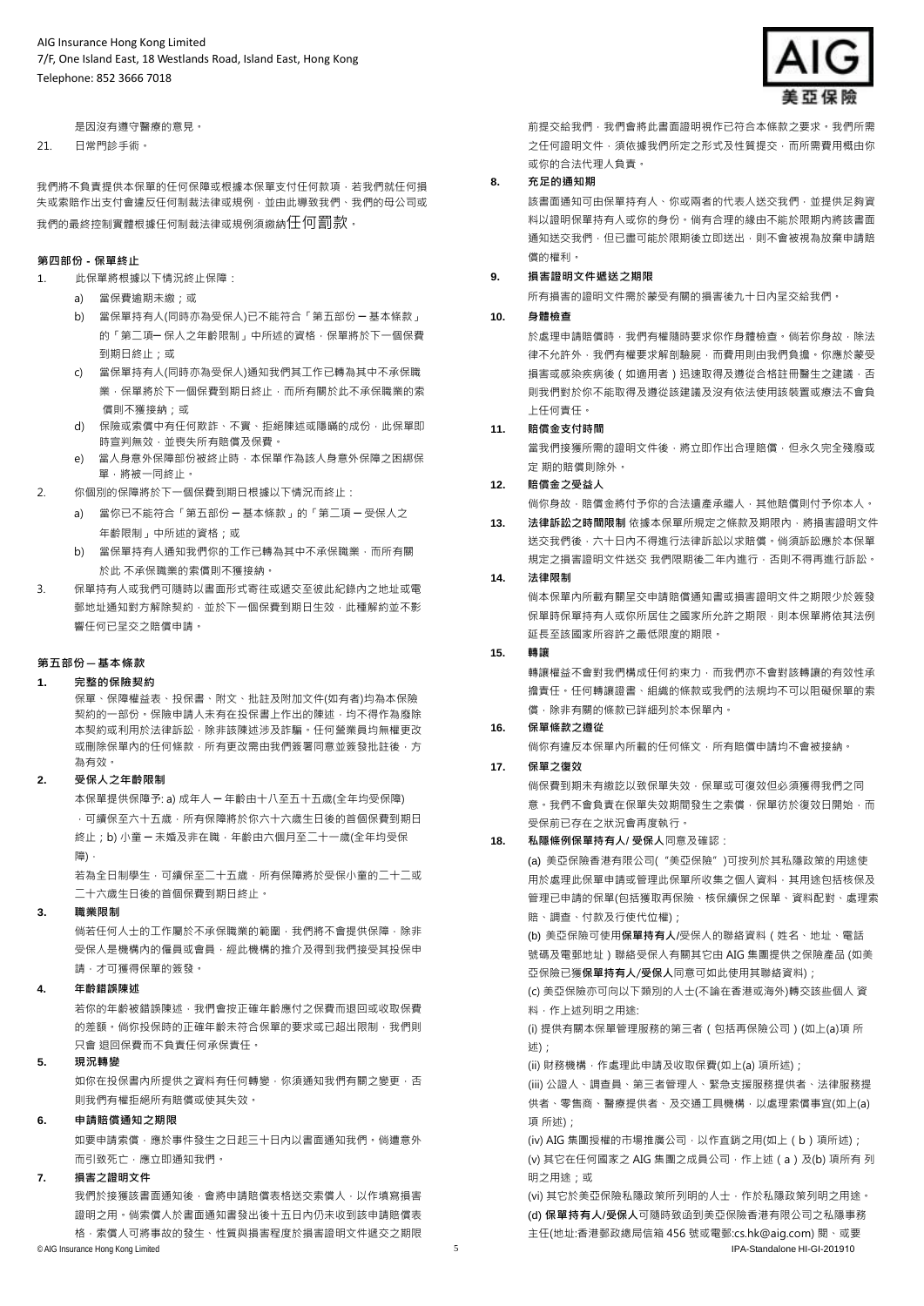是因沒有遵守醫療的意見。

21. 日常門診手術。

我們將不負責提供本保單的任何保障或根據本保單支付任何款項,若我們就任何損 失或索賠作出支付會違反任何制裁法律或規例,並由此導致我們、我們的母公司或 我們的最終控制實體根據任何制裁法律或規例須繳納任何罰款。

## **第四部份 - 保單終止**

- 1. 此保單將根據以下情況終止保障:
	- a) 當保費逾期未繳;或
	- b) 當保單持有人(同時亦為受保人)已不能符合「第五部份 ─ 基本條款」 的「第二項-保人之年齡限制」中所述的資格,保單將於下一個保費 到期日終止;或
	- c) 當保單持有人(同時亦為受保人)通知我們其工作已轉為其中不承保職 業,保單將於下一個保費到期日終止,而所有關於此不承保職業的索 償則不獲接納;或
	- d) 保險或索償中有任何欺詐、不實、拒絕陳述或隱瞞的成份, 此保單即 時宣判無效,並喪失所有賠償及保費。
	- e) 當人身意外保障部份被終止時,本保單作為該人身意外保障之困綁保 單,將被一同終止。
- 2. 你個別的保障將於下一個保費到期日根據以下情況而終止:
	- a) 當你已不能符合「第五部份 ─ 基本條款」的「第二項 ─ 受保人之 年齡限制」中所述的資格;或
	- b) 當保單持有人通知我們你的工作已轉為其中不承保職業,而所有關 於此 不承保職業的索償則不獲接納。
- 3. 保單持有人或我們可隨時以書面形式寄往或遞交至彼此紀錄內之地址或電 郵地址通知對方解除契約,並於下一個保費到期日生效,此種解約並不影 響任何已呈交之賠償申請。

## **第五部份 – 基本條款**

## **1. 完整的保險契約**

保單、保障權益表、投保書、附文、批註及附加文件(如有者)均為本保險 契約的一部份。保險申請人未有在投保書上作出的陳述,均不得作為廢除 本契約或利用於法律訴訟,除非該陳述涉及詐騙。任何營業員均無權更改 或刪除保單內的任何條款,所有更改需由我們簽署同意並簽發批註後,方 為有效。

# **2. 受保人之年齡限制**

本保單提供保障予: a) 成年人 ─ 年齡由十八至五十五歲(全年均受保障) ,可續保至六十五歲,所有保障將於你六十六歲生日後的首個保費到期日 終止;b) 小童 一 未婚及非在職,年齡由六個月至二十一歲(全年均受保 障),

若為全日制學生,可續保至二十五歲,所有保障將於受保小童的二十二或 二十六歲生日後的首個保費到期日終止。

# **3. 職業限制**

倘若任何人士的工作屬於不承保職業的範圍,我們將不會提供保障,除非 受保人是機構內的僱員或會員,經此機構的推介及得到我們接受其投保申 請,才可獲得保單的簽發。

#### **4. 年齡錯誤陳述**

若你的年齡被錯誤陳述,我們會按正確年齡應付之保費而退回或收取保費 的差額。倘你投保時的正確年齡未符合保單的要求或已超出限制,我們則 只會 退回保費而不負責任何承保責任。

### **5. 現況轉變**

如你在投保書內所提供之資料有任何轉變,你須通知我們有關之變更,否 則我們有權拒絕所有賠償或使其失效。

## **6. 申請賠償通知之期限**

如要申請索償,應於事件發生之日起三十日內以書面通知我們。倘遭意外 而引致死亡,應立即通知我們。

# **7. 損害之證明文件**

我們於接獲該書面通知後,會將申請賠償表格送交索償人,以作填寫損害 證明之用。倘索償人於書面通知書發出後十五日內仍未收到該申請賠償表 格,索償人可將事故的發生、性質與損害程度於損害證明文件遞交之期限



前提交給我們,我們會將此書面證明視作已符合本條款之要求。我們所需 之任何證明文件,須依據我們所定之形式及性質提交,而所需費用概由你 或你的合法代理人負責。

# **8. 充足的通知期**

該書面通知可由保單持有人、你或兩者的代表人送交我們,並提供足夠資 料以證明保單持有人或你的身份。倘有合理的緣由不能於限期內將該書面 通知送交我們,但已盡可能於限期後立即送出,則不會被視為放棄申請賠 償的權利。

# **9. 損害證明文件遞送之期限**

所有損害的證明文件需於蒙受有關的損害後九十日內呈交給我們。

# **10. 身體檢查**

於處理申請賠償時,我們有權隨時要求你作身體檢查。倘若你身故,除法 律不允許外,我們有權要求解剖驗屍,而費用則由我們負擔。你應於蒙受 損害或感染疾病後(如適用者)迅速取得及遵從合格註冊醫生之建議,否 則我們對於你不能取得及遵從該建議及沒有依法使用該裝置或療法不會負 上任何責任。

#### **11. 賠償金支付時間**

當我們接獲所需的證明文件後,將立即作出合理賠償,但永久完全殘廢或 定 期的賠償則除外。

# **12. 賠償金之受益人**

倘你身故,賠償金將付予你的合法遺產承繼人,其他賠償則付予你本人。

**13. 法律訴訟之時間限制** 依據本保單所規定之條款及期限內,將損害證明文件 送交我們後,六十日內不得進行法律訴訟以求賠償。倘須訴訟應於本保單 規定之損害證明文件送交 我們限期後二年內進行, 否則不得再進行訴訟。

### **14. 法律限制**

倘本保單內所載有關呈交申請賠償通知書或損害證明文件之期限少於簽發 保單時保單持有人或你所居住之國家所允許之期限,則本保單將依其法例 延長至該國家所容許之最低限度的期限。

## **15. 轉讓**

轉讓權益不會對我們構成任何約束力,而我們亦不會對該轉讓的有效性承 擔責任。任何轉讓證書、組織的條款或我們的法規均不可以阻礙保單的索 償,除非有關的條款已詳細列於本保單內。

## **16. 保單條款之遵從**

倘你有違反本保單內所載的任何條文,所有賠償申請均不會被接納。

## **17. 保單之復效**

倘保費到期未有繳訖以致保單失效,保單或可復效但必須獲得我們之同 意。我們不會負責在保單失效期間發生之索償,保單彷於復效日開始,而 受保前已存在之狀況會再度執行。

# **18. 私隱條例保單持有人**/ **受保人**同意及確認:

(a) 美亞保險香港有限公司("美亞保險")可按列於其私隱政策的用途使 用於處理此保單申請或管理此保單所收集之個人資料,其用途包括核保及 管理已申請的保單(包括獲取再保險、核保續保之保單、資料配對、處理索 賠、調查、付款及行使代位權);

(b) 美亞保險可使用**保單持有人**/受保人的聯絡資料(姓名、地址、電話 號碼及電郵地址)聯絡受保人有關其它由 AIG 集團提供之保險產品 (如美 亞保險已獲**保單持有人**/**受保人**同意可如此使用其聯絡資料);

(c) 美亞保險亦可向以下類別的人士(不論在香港或海外)轉交該些個人 資 料,作上述列明之用途:

(i) 提供有關本保單管理服務的第三者(包括再保險公司)(如上(a)項 所 (刘

(ii) 財務機構, 作處理此申請及收取保費(如上(a) 項所述);

(iii) 公證人、調查員、第三者管理人、緊急支援服務提供者、法律服務提 供者、零售商、醫療提供者、及交通工具機構,以處理索償事宜(如上(a) </u>

(iv) AIG 集團授權的市場推廣公司,以作直銷之用(如上(b)項所述); (v) 其它在任何國家之 AIG 集團之成員公司, 作上述 (a)及(b) 項所有 列 **細之田途· 或** 

© AIG Insurance Hong Kong Limited 5 IPA-Standalone HI-GI-201910 (vi) 其它於美亞保險私隱政策所列明的人士,作於私隱政策列明之用途。 (d) **保單持有人**/**受保人**可隨時致函到美亞保險香港有限公司之私隱事務 主任(地址:香港郵政總局信箱 456 號或電郵:cs.hk@aig.com) 閱、或要